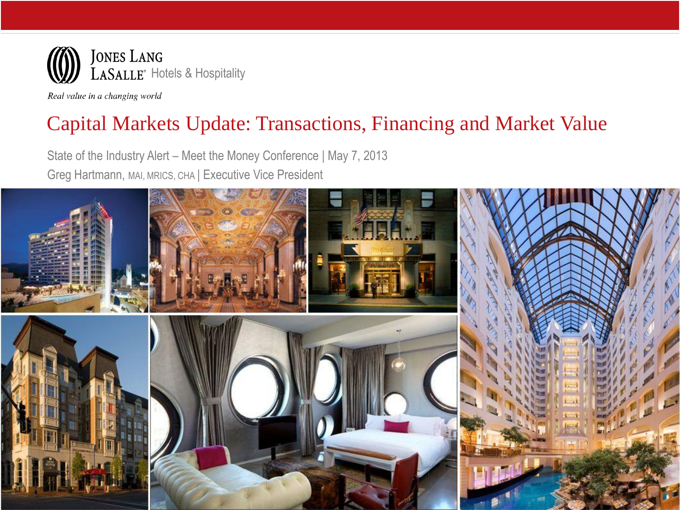

Real value in a changing world

#### Capital Markets Update: Transactions, Financing and Market Value

State of the Industry Alert – Meet the Money Conference | May 7, 2013 Greg Hartmann, MAI, MRICS, CHA | Executive Vice President

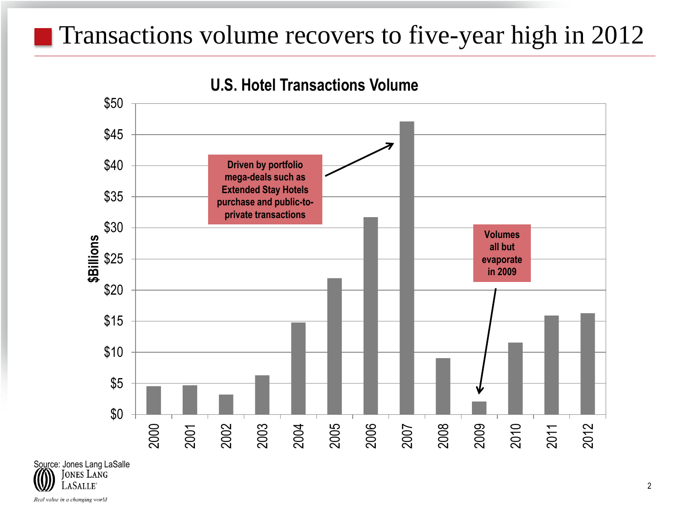#### Transactions volume recovers to five-year high in 2012



**U.S. Hotel Transactions Volume**

Source: Jones Lang LaSalle<br> **(IIN)** JONES LANG LASALLE<sup>®</sup> Real value in a changing world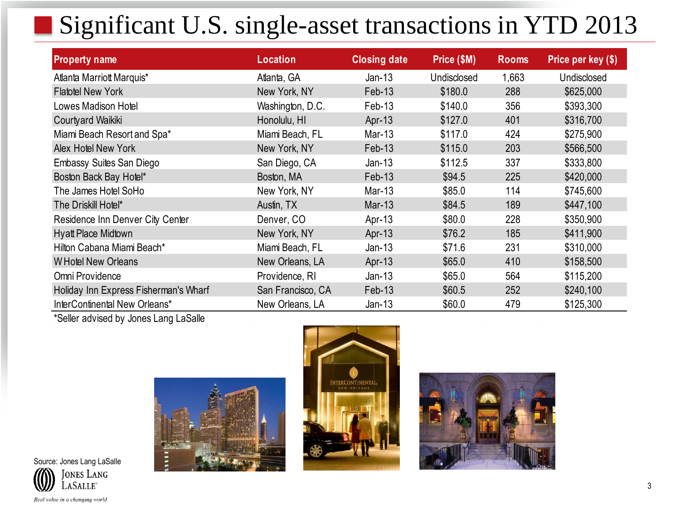# Significant U.S. single-asset transactions in YTD 2013

| <b>Property name</b>                  | Location          | <b>Closing date</b> | Price (\$M) | <b>Rooms</b> | Price per key (\$) |
|---------------------------------------|-------------------|---------------------|-------------|--------------|--------------------|
| Atlanta Marriott Marquis*             | Atlanta, GA       | $Jan-13$            | Undisclosed | 1,663        | Undisclosed        |
| <b>Flatotel New York</b>              | New York, NY      | Feb-13              | \$180.0     | 288          | \$625,000          |
| Lowes Madison Hotel                   | Washington, D.C.  | Feb-13              | \$140.0     | 356          | \$393,300          |
| Courtyard Waikiki                     | Honolulu, HI      | Apr- $13$           | \$127.0     | 401          | \$316,700          |
| Miami Beach Resort and Spa*           | Miami Beach, FL   | Mar-13              | \$117.0     | 424          | \$275,900          |
| Alex Hotel New York                   | New York, NY      | Feb-13              | \$115.0     | 203          | \$566,500          |
| Embassy Suites San Diego              | San Diego, CA     | $Jan-13$            | \$112.5     | 337          | \$333,800          |
| Boston Back Bay Hotel*                | Boston, MA        | Feb-13              | \$94.5      | 225          | \$420,000          |
| The James Hotel SoHo                  | New York, NY      | Mar-13              | \$85.0      | 114          | \$745,600          |
| The Driskill Hotel*                   | Austin, TX        | Mar-13              | \$84.5      | 189          | \$447,100          |
| Residence Inn Denver City Center      | Denver, CO        | Apr-13              | \$80.0      | 228          | \$350,900          |
| Hyatt Place Midtown                   | New York, NY      | Apr- $13$           | \$76.2      | 185          | \$411,900          |
| Hilton Cabana Miami Beach*            | Miami Beach, FL   | $Jan-13$            | \$71.6      | 231          | \$310,000          |
| <b>W</b> Hotel New Orleans            | New Orleans, LA   | Apr-13              | \$65.0      | 410          | \$158,500          |
| Omni Providence                       | Providence, RI    | $Jan-13$            | \$65.0      | 564          | \$115,200          |
| Holiday Inn Express Fisherman's Wharf | San Francisco, CA | Feb-13              | \$60.5      | 252          | \$240,100          |
| InterContinental New Orleans*         | New Orleans, LA   | $Jan-13$            | \$60.0      | 479          | \$125,300          |

\*Seller advised by Jones Lang LaSalle







Source: Jones Lang LaSalle **JONES LANG** LASALLE<sup>®</sup>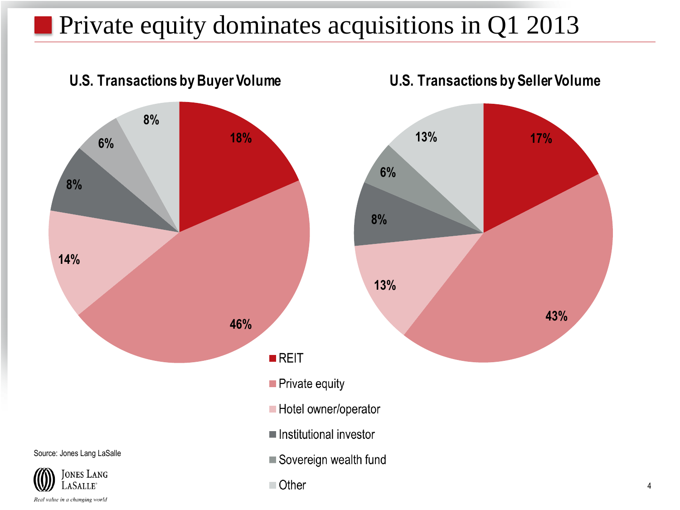#### **Private equity dominates acquisitions in Q1 2013**



Real value in a changing world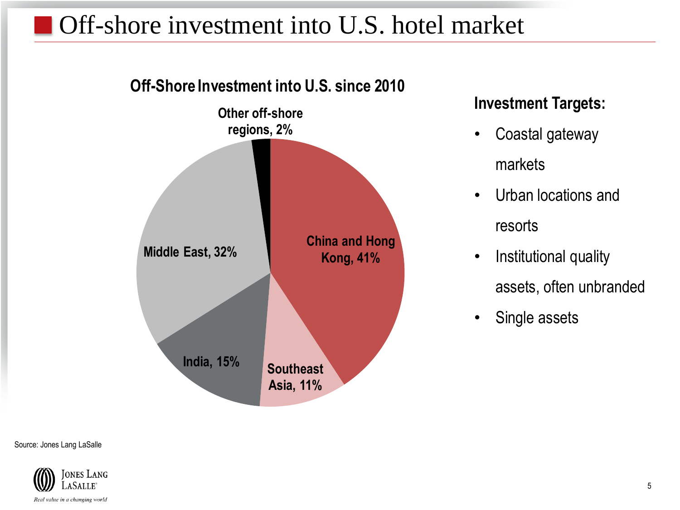#### **Off-shore investment into U.S. hotel market**



#### **Investment Targets:**

- Coastal gateway markets
- Urban locations and resorts
- Institutional quality assets, often unbranded
- Single assets

Source: Jones Lang LaSalle

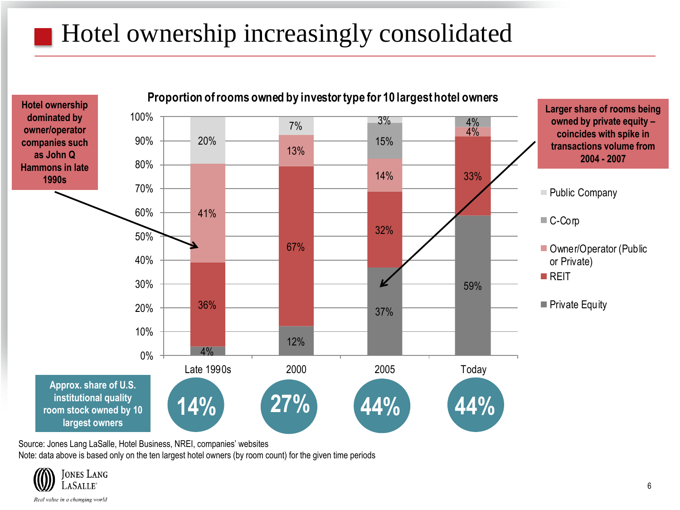## Hotel ownership increasingly consolidated



Source: Jones Lang LaSalle, Hotel Business, NREI, companies' websites Note: data above is based only on the ten largest hotel owners (by room count) for the given time periods

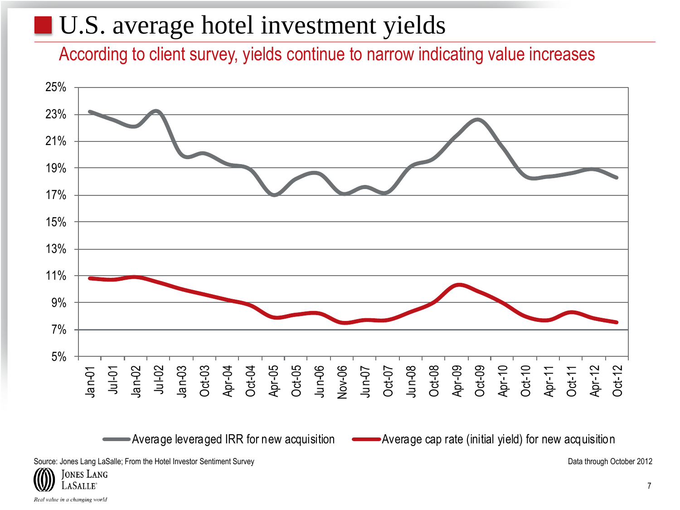#### U.S. average hotel investment yields

According to client survey, yields continue to narrow indicating value increases



Average leveraged IRR for new acquisition **Average cap rate (initial yield)** for new acquisition

Source: Jones Lang LaSalle; From the Hotel Investor Sentiment Survey Data through October 2012

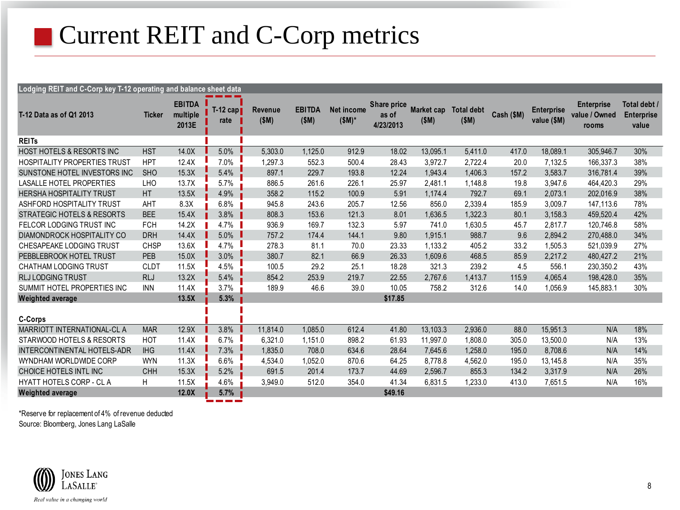#### **Current REIT and C-Corp metrics**

| Lodging REIT and C-Corp key T-12 operating and balance sheet data |                 |                                    |                    |                 |                       |                               |                                          |                           |                           |            |                                  |                                             |                                            |
|-------------------------------------------------------------------|-----------------|------------------------------------|--------------------|-----------------|-----------------------|-------------------------------|------------------------------------------|---------------------------|---------------------------|------------|----------------------------------|---------------------------------------------|--------------------------------------------|
| T-12 Data as of Q1 2013                                           | <b>Ticker</b>   | <b>EBITDA</b><br>multiple<br>2013E | $T-12$ cap<br>rate | Revenue<br>(SM) | <b>EBITDA</b><br>(SM) | <b>Net income</b><br>$(SM)^*$ | <b>Share price</b><br>as of<br>4/23/2013 | <b>Market cap</b><br>(SM) | <b>Total debt</b><br>(SM) | Cash (\$M) | <b>Enterprise</b><br>value (\$M) | <b>Enterprise</b><br>value / Owned<br>rooms | Total debt /<br><b>Enterprise</b><br>value |
| <b>REITs</b>                                                      |                 |                                    |                    |                 |                       |                               |                                          |                           |                           |            |                                  |                                             |                                            |
| <b>HOST HOTELS &amp; RESORTS INC</b>                              | <b>HST</b>      | 14.0X                              | 5.0%               | 5.303.0         | 1,125.0               | 912.9                         | 18.02                                    | 13.095.1                  | 5.411.0                   | 417.0      | 18.089.1                         | 305.946.7                                   | 30%                                        |
| <b>HOSPITALITY PROPERTIES TRUST</b>                               | <b>HPT</b>      | 12.4X                              | 7.0%               | 1.297.3         | 552.3                 | 500.4                         | 28.43                                    | 3.972.7                   | 2,722.4                   | 20.0       | 7,132.5                          | 166,337.3                                   | 38%                                        |
| SUNSTONE HOTEL INVESTORS INC                                      | <b>SHO</b>      | 15.3X                              | 5.4%               | 897.1           | 229.7                 | 193.8                         | 12.24                                    | 1,943.4                   | 1.406.3                   | 157.2      | 3,583.7                          | 316.781.4                                   | 39%                                        |
| <b>LASALLE HOTEL PROPERTIES</b>                                   | LH <sub>O</sub> | 13.7X                              | 5.7%               | 886.5           | 261.6                 | 226.1                         | 25.97                                    | 2,481.1                   | 1,148.8                   | 19.8       | 3,947.6                          | 464,420.3                                   | 29%                                        |
| <b>HERSHA HOSPITALITY TRUST</b>                                   | HT              | 13.5X                              | 4.9%               | 358.2           | 115.2                 | 100.9                         | 5.91                                     | 1.174.4                   | 792.7                     | 69.1       | 2.073.1                          | 202.016.9                                   | 38%                                        |
| ASHFORD HOSPITALITY TRUST                                         | AHT             | 8.3X                               | 6.8%               | 945.8           | 243.6                 | 205.7                         | 12.56                                    | 856.0                     | 2,339.4                   | 185.9      | 3,009.7                          | 147.113.6                                   | 78%                                        |
| <b>STRATEGIC HOTELS &amp; RESORTS</b>                             | <b>BEE</b>      | 15.4X                              | 3.8%               | 808.3           | 153.6                 | 121.3                         | 8.01                                     | 1,636.5                   | 1.322.3                   | 80.1       | 3,158.3                          | 459.520.4                                   | 42%                                        |
| <b>FELCOR LODGING TRUST INC</b>                                   | <b>FCH</b>      | 14.2X                              | 4.7%               | 936.9           | 169.7                 | 132.3                         | 5.97                                     | 741.0                     | 1,630.5                   | 45.7       | 2,817.7                          | 120,746.8                                   | 58%                                        |
| DIAMONDROCK HOSPITALITY CO                                        | <b>DRH</b>      | 14.4X                              | 5.0%               | 757.2           | 174.4                 | 144.1                         | 9.80                                     | 1.915.1                   | 988.7                     | 9.6        | 2.894.2                          | 270.488.0                                   | 34%                                        |
| <b>CHESAPEAKE LODGING TRUST</b>                                   | <b>CHSP</b>     | 13.6X                              | 4.7%               | 278.3           | 81.1                  | 70.0                          | 23.33                                    | 1.133.2                   | 405.2                     | 33.2       | 1.505.3                          | 521.039.9                                   | 27%                                        |
| PEBBLEBROOK HOTEL TRUST                                           | <b>PEB</b>      | 15.0X                              | 3.0%               | 380.7           | 82.1                  | 66.9                          | 26.33                                    | 1,609.6                   | 468.5                     | 85.9       | 2,217.2                          | 480,427.2                                   | 21%                                        |
| <b>CHATHAM LODGING TRUST</b>                                      | <b>CLDT</b>     | 11.5X                              | 4.5%               | 100.5           | 29.2                  | 25.1                          | 18.28                                    | 321.3                     | 239.2                     | 4.5        | 556.1                            | 230.350.2                                   | 43%                                        |
| <b>RLJ LODGING TRUST</b>                                          | <b>RLJ</b>      | 13.2X                              | 5.4%               | 854.2           | 253.9                 | 219.7                         | 22.55                                    | 2,767.6                   | 1,413.7                   | 115.9      | 4.065.4                          | 198,428.0                                   | 35%                                        |
| SUMMIT HOTEL PROPERTIES INC                                       | <b>INN</b>      | 11.4X                              | 3.7%               | 189.9           | 46.6                  | 39.0                          | 10.05                                    | 758.2                     | 312.6                     | 14.0       | 1,056.9                          | 145,883.1                                   | 30%                                        |
| <b>Weighted average</b>                                           |                 | 13.5X                              | 5.3%               |                 |                       |                               | \$17.85                                  |                           |                           |            |                                  |                                             |                                            |
| C-Corps                                                           |                 |                                    |                    |                 |                       |                               |                                          |                           |                           |            |                                  |                                             |                                            |
| MARRIOTT INTERNATIONAL-CL A                                       | <b>MAR</b>      | 12.9X                              | 3.8%               | 11.814.0        | 1.085.0               | 612.4                         | 41.80                                    | 13,103.3                  | 2,936.0                   | 88.0       | 15,951.3                         | N/A                                         | 18%                                        |
| STARWOOD HOTELS & RESORTS                                         | <b>HOT</b>      | 11.4X                              | 6.7%               | 6,321.0         | 1,151.0               | 898.2                         | 61.93                                    | 11,997.0                  | 1,808.0                   | 305.0      | 13,500.0                         | N/A                                         | 13%                                        |
| INTERCONTINENTAL HOTELS-ADR                                       | <b>IHG</b>      | 11.4X                              | 7.3%               | 1,835.0         | 708.0                 | 634.6                         | 28.64                                    | 7,645.6                   | 1,258.0                   | 195.0      | 8,708.6                          | N/A                                         | 14%                                        |
| WYNDHAM WORLDWIDE CORP                                            | <b>WYN</b>      | 11.3X                              | 6.6%               | 4,534.0         | 1,052.0               | 870.6                         | 64.25                                    | 8.778.8                   | 4,562.0                   | 195.0      | 13,145.8                         | N/A                                         | 35%                                        |
| CHOICE HOTELS INTL INC                                            | <b>CHH</b>      | 15.3X                              | 5.2%               | 691.5           | 201.4                 | 173.7                         | 44.69                                    | 2,596.7                   | 855.3                     | 134.2      | 3,317.9                          | N/A                                         | 26%                                        |
| <b>HYATT HOTELS CORP - CLA</b>                                    | H.              | 11.5X                              | 4.6%               | 3,949.0         | 512.0                 | 354.0                         | 41.34                                    | 6,831.5                   | 1,233.0                   | 413.0      | 7,651.5                          | N/A                                         | 16%                                        |
| <b>Weighted average</b>                                           |                 | 12.0X                              | 5.7%               |                 |                       |                               | \$49.16                                  |                           |                           |            |                                  |                                             |                                            |

\*Reserve for replacement of 4% of revenue deducted Source: Bloomberg, Jones Lang LaSalle

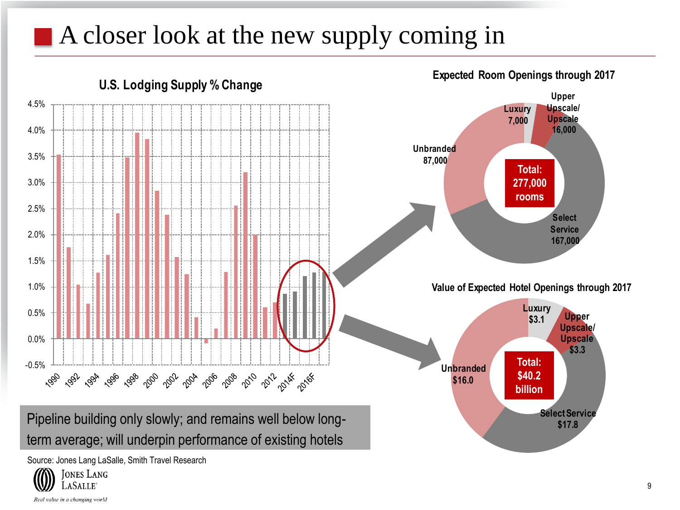#### A closer look at the new supply coming in

**U.S. Lodging Supply % Change Upper**  4.5% **Upscale/ Luxury Upscale 7,000 16,000**  4.0% **Unbranded** 3.5% **87,000 Total:**  3.0% **277,000 rooms** 2.5% **Select Service** 2.0% **167,000**  1.5% 1.0% **Value of Expected Hotel Openings through 2017 Luxury** 0.5% **\$3.1 Upper Upscale/**  0.0% **Upscale \$3.3 Total:**  -0.5% **Unbranded** 1985 1984 1980 1980 1905 1904 1900 1900 1910 1911 1911 1912 **\$40.2**  1990 **\$16.0 billionSelect Service** Pipeline building only slowly; and remains well below long-**\$17.8** term average; will underpin performance of existing hotels

Source: Jones Lang LaSalle, Smith Travel Research



**Expected Room Openings through 2017**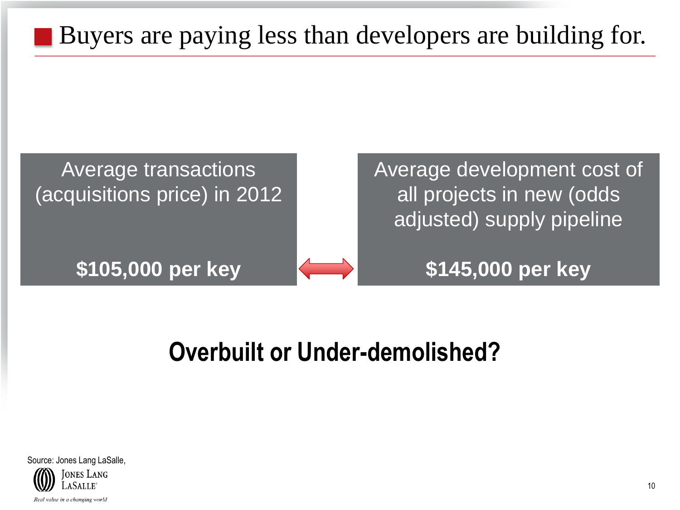# Buyers are paying less than developers are building for.

Average transactions (acquisitions price) in 2012

**\$105,000 per key**

Average development cost of all projects in new (odds adjusted) supply pipeline

**\$145,000 per key**

#### **Overbuilt or Under-demolished?**



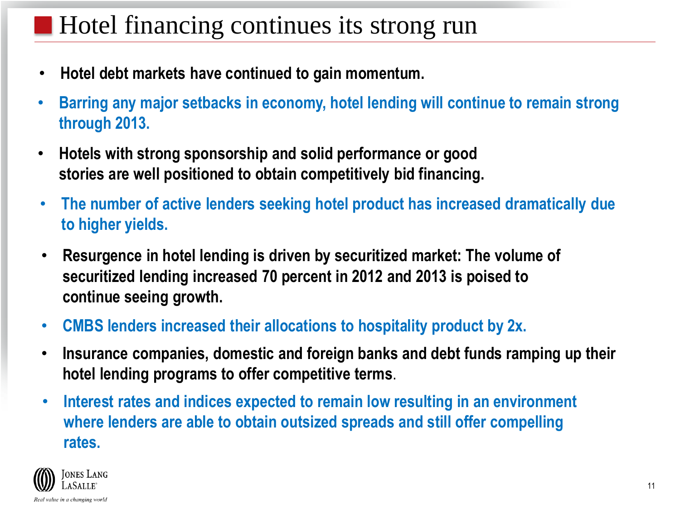#### **Hotel financing continues its strong run**

- **Hotel debt markets have continued to gain momentum.**
- **Barring any major setbacks in economy, hotel lending will continue to remain strong through 2013.**
- **Hotels with strong sponsorship and solid performance or good stories are well positioned to obtain competitively bid financing.**
- **The number of active lenders seeking hotel product has increased dramatically due to higher yields.**
- **Resurgence in hotel lending is driven by securitized market: The volume of securitized lending increased 70 percent in 2012 and 2013 is poised to continue seeing growth.**
- **CMBS lenders increased their allocations to hospitality product by 2x.**
- **Insurance companies, domestic and foreign banks and debt funds ramping up their hotel lending programs to offer competitive terms**.
- **Interest rates and indices expected to remain low resulting in an environment where lenders are able to obtain outsized spreads and still offer compelling rates.**

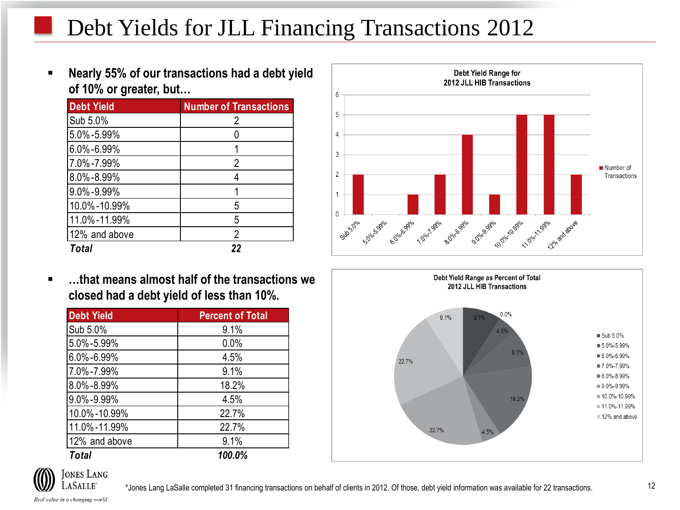#### Debt Yields for JLL Financing Transactions 2012

 **Nearly 55% of our transactions had a debt yield of 10% or greater, but…**

| <b>Debt Yield</b> | <b>Number of Transactions</b> |
|-------------------|-------------------------------|
| Sub 5.0%          | 2                             |
| 5.0%-5.99%        |                               |
| 6.0%-6.99%        |                               |
| 7.0%-7.99%        | 2                             |
| 8.0%-8.99%        |                               |
| 9.0%-9.99%        |                               |
| 10.0%-10.99%      | 5                             |
| 11.0%-11.99%      | 5                             |
| 12% and above     | 2                             |
| <b>Total</b>      | 22                            |

 **…that means almost half of the transactions we closed had a debt yield of less than 10%.**

| <b>Debt Yield</b> | <b>Percent of Total</b> |
|-------------------|-------------------------|
| Sub 5.0%          | 9.1%                    |
| 5.0%-5.99%        | 0.0%                    |
| 6.0%-6.99%        | 4.5%                    |
| 7.0%-7.99%        | 9.1%                    |
| 8.0%-8.99%        | 18.2%                   |
| 9.0%-9.99%        | 4.5%                    |
| 10.0%-10.99%      | 22.7%                   |
| 11.0%-11.99%      | 22.7%                   |
| 12% and above     | 9.1%                    |
| <b>Total</b>      | 100.0%                  |





Real value in a changing world







Debt Yield Range for 2012 JLL HIB Transactions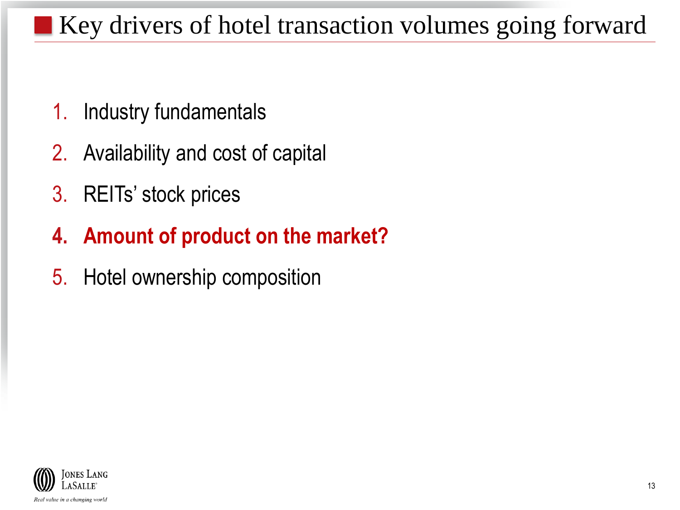# Key drivers of hotel transaction volumes going forward

- 1. Industry fundamentals
- 2. Availability and cost of capital
- 3. REITs' stock prices
- **4. Amount of product on the market?**
- 5. Hotel ownership composition

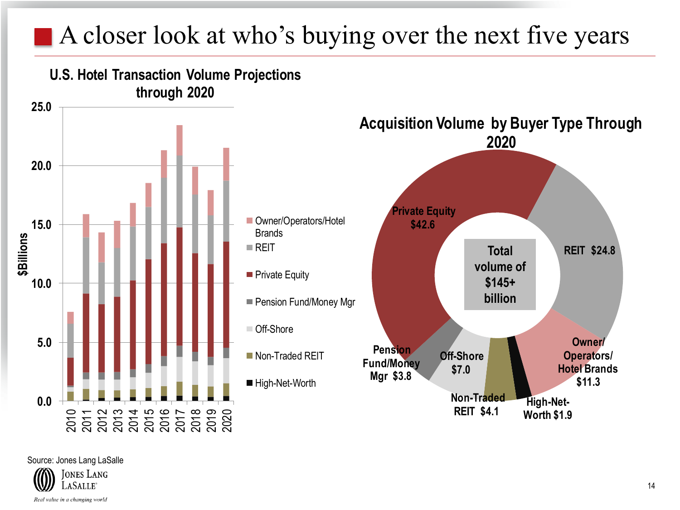# A closer look at who's buying over the next five years